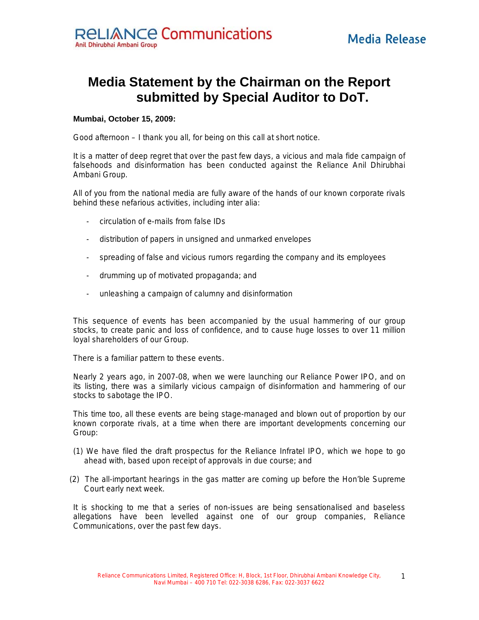## **Media Statement by the Chairman on the Report submitted by Special Auditor to DoT.**

## **Mumbai, October 15, 2009:**

Good afternoon – I thank you all, for being on this call at short notice.

It is a matter of deep regret that over the past few days, a vicious and mala fide campaign of falsehoods and disinformation has been conducted against the Reliance Anil Dhirubhai Ambani Group.

All of you from the national media are fully aware of the hands of our known corporate rivals behind these nefarious activities, including inter alia:

- circulation of e-mails from false IDs
- distribution of papers in unsigned and unmarked envelopes
- spreading of false and vicious rumors regarding the company and its employees
- drumming up of motivated propaganda; and
- unleashing a campaign of calumny and disinformation

This sequence of events has been accompanied by the usual hammering of our group stocks, to create panic and loss of confidence, and to cause huge losses to over 11 million loyal shareholders of our Group.

There is a familiar pattern to these events.

Nearly 2 years ago, in 2007-08, when we were launching our Reliance Power IPO, and on its listing, there was a similarly vicious campaign of disinformation and hammering of our stocks to sabotage the IPO.

This time too, all these events are being stage-managed and blown out of proportion by our known corporate rivals, at a time when there are important developments concerning our Group:

- (1) We have filed the draft prospectus for the Reliance Infratel IPO, which we hope to go ahead with, based upon receipt of approvals in due course; and
- (2) The all-important hearings in the gas matter are coming up before the Hon'ble Supreme Court early next week.

It is shocking to me that a series of non-issues are being sensationalised and baseless allegations have been levelled against one of our group companies, Reliance Communications, over the past few days.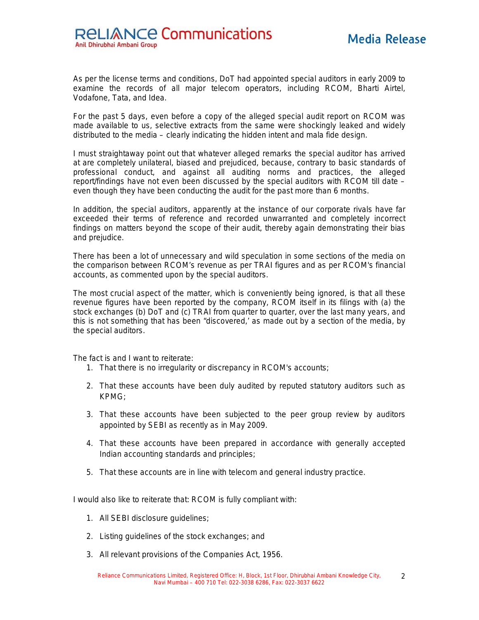As per the license terms and conditions, DoT had appointed special auditors in early 2009 to examine the records of all major telecom operators, including RCOM, Bharti Airtel, Vodafone, Tata, and Idea.

For the past 5 days, even before a copy of the alleged special audit report on RCOM was made available to us, selective extracts from the same were shockingly leaked and widely distributed to the media – clearly indicating the hidden intent and mala fide design.

I must straightaway point out that whatever alleged remarks the special auditor has arrived at are completely unilateral, biased and prejudiced, because, contrary to basic standards of professional conduct, and against all auditing norms and practices, the alleged report/findings have not even been discussed by the special auditors with RCOM till date – even though they have been conducting the audit for the past more than 6 months.

In addition, the special auditors, apparently at the instance of our corporate rivals have far exceeded their terms of reference and recorded unwarranted and completely incorrect findings on matters beyond the scope of their audit, thereby again demonstrating their bias and prejudice.

There has been a lot of unnecessary and wild speculation in some sections of the media on the comparison between RCOM's revenue as per TRAI figures and as per RCOM's financial accounts, as commented upon by the special auditors.

The most crucial aspect of the matter, which is conveniently being ignored, is that all these revenue figures have been reported by the company, RCOM itself in its filings with (a) the stock exchanges (b) DoT and (c) TRAI from quarter to quarter, over the last many years, and this is not something that has been "discovered,' as made out by a section of the media, by the special auditors.

The fact is and I want to reiterate:

- 1. That there is no irregularity or discrepancy in RCOM's accounts;
- 2. That these accounts have been duly audited by reputed statutory auditors such as KPMG;
- 3. That these accounts have been subjected to the peer group review by auditors appointed by SEBI as recently as in May 2009.
- 4. That these accounts have been prepared in accordance with generally accepted Indian accounting standards and principles;
- 5. That these accounts are in line with telecom and general industry practice.

I would also like to reiterate that: RCOM is fully compliant with:

- 1. All SEBI disclosure guidelines;
- 2. Listing guidelines of the stock exchanges; and
- 3. All relevant provisions of the Companies Act, 1956.